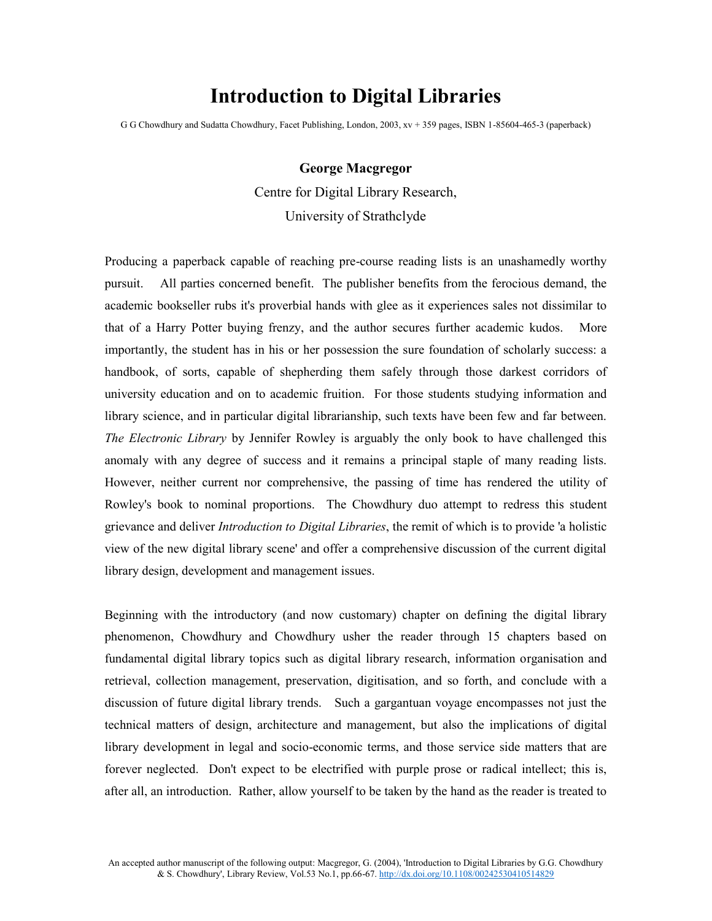## **Introduction to Digital Libraries**

G G Chowdhury and Sudatta Chowdhury, Facet Publishing, London, 2003, xv + 359 pages, ISBN 1-85604-465-3 (paperback)

## **George Macgregor** Centre for Digital Library Research, University of Strathclyde

Producing a paperback capable of reaching pre-course reading lists is an unashamedly worthy pursuit. All parties concerned benefit. The publisher benefits from the ferocious demand, the academic bookseller rubs it's proverbial hands with glee as it experiences sales not dissimilar to that of a Harry Potter buying frenzy, and the author secures further academic kudos. More importantly, the student has in his or her possession the sure foundation of scholarly success: a handbook, of sorts, capable of shepherding them safely through those darkest corridors of university education and on to academic fruition. For those students studying information and library science, and in particular digital librarianship, such texts have been few and far between. *The Electronic Library* by Jennifer Rowley is arguably the only book to have challenged this anomaly with any degree of success and it remains a principal staple of many reading lists. However, neither current nor comprehensive, the passing of time has rendered the utility of Rowley's book to nominal proportions. The Chowdhury duo attempt to redress this student grievance and deliver *Introduction to Digital Libraries*, the remit of which is to provide 'a holistic view of the new digital library scene' and offer a comprehensive discussion of the current digital library design, development and management issues.

Beginning with the introductory (and now customary) chapter on defining the digital library phenomenon, Chowdhury and Chowdhury usher the reader through 15 chapters based on fundamental digital library topics such as digital library research, information organisation and retrieval, collection management, preservation, digitisation, and so forth, and conclude with a discussion of future digital library trends. Such a gargantuan voyage encompasses not just the technical matters of design, architecture and management, but also the implications of digital library development in legal and socio-economic terms, and those service side matters that are forever neglected. Don't expect to be electrified with purple prose or radical intellect; this is, after all, an introduction. Rather, allow yourself to be taken by the hand as the reader is treated to